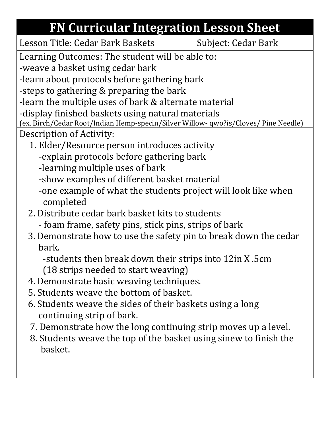## **FN Curricular Integration Lesson Sheet**

Subject: Cedar Bark

Learning Outcomes: The student will be able to:

-weave a basket using cedar bark

-learn about protocols before gathering bark

-steps to gathering & preparing the bark

-learn the multiple uses of bark & alternate material

-display finished baskets using natural materials

(ex. Birch/Cedar Root/Indian Hemp-specin/Silver Willow- qwo?is/Cloves/ Pine Needle) Description of Activity:

- 1. Elder/Resource person introduces activity -explain protocols before gathering bark
	- -learning multiple uses of bark
	- -show examples of different basket material
	- -one example of what the students project will look like when completed
- 2. Distribute cedar bark basket kits to students
	- foam frame, safety pins, stick pins, strips of bark
- 3. Demonstrate how to use the safety pin to break down the cedar bark.

 -students then break down their strips into 12in X .5cm (18 strips needed to start weaving)

- 4. Demonstrate basic weaving techniques.
- 5. Students weave the bottom of basket.
- 6. Students weave the sides of their baskets using a long continuing strip of bark.
- 7. Demonstrate how the long continuing strip moves up a level.
- 8. Students weave the top of the basket using sinew to finish the basket.